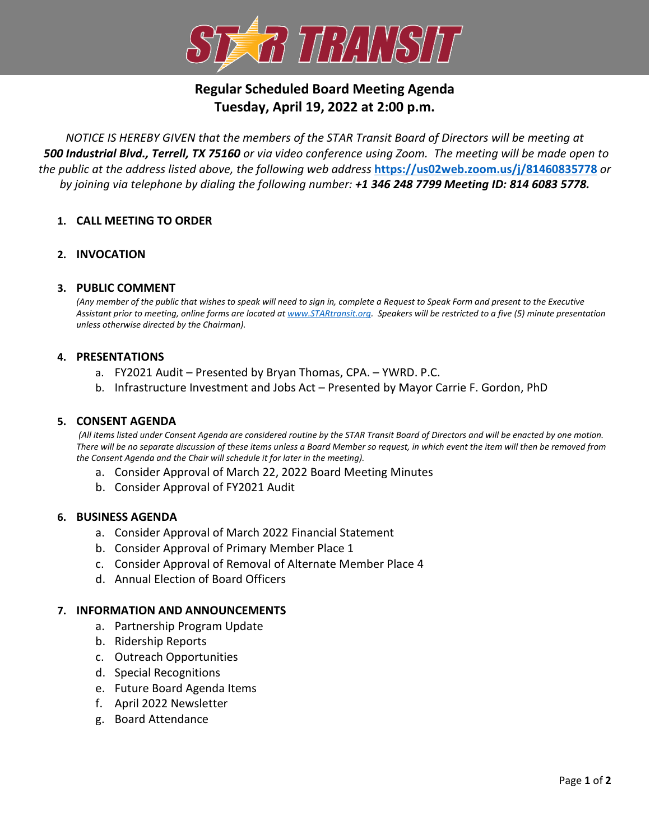

# **Regular Scheduled Board Meeting Agenda Tuesday, April 19, 2022 at 2:00 p.m.**

*NOTICE IS HEREBY GIVEN that the members of the STAR Transit Board of Directors will be meeting at 500 Industrial Blvd., Terrell, TX 75160 or via video conference using Zoom. The meeting will be made open to the public at the address listed above, the following web address* **<https://us02web.zoom.us/j/81460835778>** *or by joining via telephone by dialing the following number: +1 346 248 7799 Meeting ID: 814 6083 5778.*

# **1. CALL MEETING TO ORDER**

# **2. INVOCATION**

## **3. PUBLIC COMMENT**

*(Any member of the public that wishes to speak will need to sign in, complete a Request to Speak Form and present to the Executive Assistant prior to meeting, online forms are located at [www.STARtransit.org.](http://www.startransit.org/) Speakers will be restricted to a five (5) minute presentation unless otherwise directed by the Chairman).*

## **4. PRESENTATIONS**

- a. FY2021 Audit Presented by Bryan Thomas, CPA. YWRD. P.C.
- b. Infrastructure Investment and Jobs Act Presented by Mayor Carrie F. Gordon, PhD

#### **5. CONSENT AGENDA**

*(All items listed under Consent Agenda are considered routine by the STAR Transit Board of Directors and will be enacted by one motion. There will be no separate discussion of these items unless a Board Member so request, in which event the item will then be removed from the Consent Agenda and the Chair will schedule it for later in the meeting).*

- a. Consider Approval of March 22, 2022 Board Meeting Minutes
- b. Consider Approval of FY2021 Audit

#### **6. BUSINESS AGENDA**

- a. Consider Approval of March 2022 Financial Statement
- b. Consider Approval of Primary Member Place 1
- c. Consider Approval of Removal of Alternate Member Place 4
- d. Annual Election of Board Officers

#### **7. INFORMATION AND ANNOUNCEMENTS**

- a. Partnership Program Update
- b. Ridership Reports
- c. Outreach Opportunities
- d. Special Recognitions
- e. Future Board Agenda Items
- f. April 2022 Newsletter
- g. Board Attendance